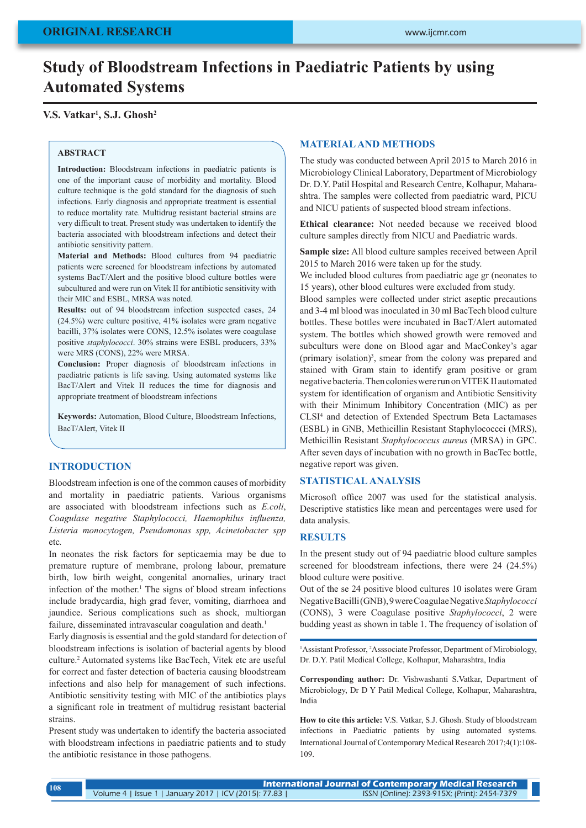# **Study of Bloodstream Infections in Paediatric Patients by using Automated Systems**

# **V.S. Vatkar1 , S.J. Ghosh2**

### **ABSTRACT**

**Introduction:** Bloodstream infections in paediatric patients is one of the important cause of morbidity and mortality. Blood culture technique is the gold standard for the diagnosis of such infections. Early diagnosis and appropriate treatment is essential to reduce mortality rate. Multidrug resistant bacterial strains are very difficult to treat. Present study was undertaken to identify the bacteria associated with bloodstream infections and detect their antibiotic sensitivity pattern.

**Material and Methods:** Blood cultures from 94 paediatric patients were screened for bloodstream infections by automated systems BacT/Alert and the positive blood culture bottles were subcultured and were run on Vitek II for antibiotic sensitivity with their MIC and ESBL, MRSA was noted.

**Results:** out of 94 bloodstream infection suspected cases, 24 (24.5%) were culture positive, 41% isolates were gram negative bacilli, 37% isolates were CONS, 12.5% isolates were coagulase positive *staphylococci*. 30% strains were ESBL producers, 33% were MRS (CONS), 22% were MRSA.

**Conclusion:** Proper diagnosis of bloodstream infections in paediatric patients is life saving. Using automated systems like BacT/Alert and Vitek II reduces the time for diagnosis and appropriate treatment of bloodstream infections

**Keywords:** Automation, Blood Culture, Bloodstream Infections, BacT/Alert, Vitek II

## **INTRODUCTION**

Bloodstream infection is one of the common causes of morbidity and mortality in paediatric patients. Various organisms are associated with bloodstream infections such as *E.coli*, *Coagulase negative Staphylococci, Haemophilus influenza, Listeria monocytogen, Pseudomonas spp, Acinetobacter spp*  etc*.*

In neonates the risk factors for septicaemia may be due to premature rupture of membrane, prolong labour, premature birth, low birth weight, congenital anomalies, urinary tract infection of the mother.<sup>1</sup> The signs of blood stream infections include bradycardia, high grad fever, vomiting, diarrhoea and jaundice. Serious complications such as shock, multiorgan failure, disseminated intravascular coagulation and death.<sup>1</sup>

Early diagnosis is essential and the gold standard for detection of bloodstream infections is isolation of bacterial agents by blood culture.<sup>2</sup> Automated systems like BacTech, Vitek etc are useful for correct and faster detection of bacteria causing bloodstream infections and also help for management of such infections. Antibiotic sensitivity testing with MIC of the antibiotics plays a significant role in treatment of multidrug resistant bacterial strains.

Present study was undertaken to identify the bacteria associated with bloodstream infections in paediatric patients and to study the antibiotic resistance in those pathogens.

## **MATERIAL AND METHODS**

The study was conducted between April 2015 to March 2016 in Microbiology Clinical Laboratory, Department of Microbiology Dr. D.Y. Patil Hospital and Research Centre, Kolhapur, Maharashtra. The samples were collected from paediatric ward, PICU and NICU patients of suspected blood stream infections.

**Ethical clearance:** Not needed because we received blood culture samples directly from NICU and Paediatric wards.

**Sample size:** All blood culture samples received between April 2015 to March 2016 were taken up for the study.

We included blood cultures from paediatric age gr (neonates to 15 years), other blood cultures were excluded from study.

Blood samples were collected under strict aseptic precautions and 3-4 ml blood was inoculated in 30 ml BacTech blood culture bottles. These bottles were incubated in BacT/Alert automated system. The bottles which showed growth were removed and subculturs were done on Blood agar and MacConkey's agar (primary isolation)3 , smear from the colony was prepared and stained with Gram stain to identify gram positive or gram negative bacteria. Then colonies were run on VITEK II automated system for identification of organism and Antibiotic Sensitivity with their Minimum Inhibitory Concentration (MIC) as per CLSI<sup>4</sup> and detection of Extended Spectrum Beta Lactamases (ESBL) in GNB, Methicillin Resistant Staphylococcci (MRS), Methicillin Resistant *Staphylococcus aureus* (MRSA) in GPC. After seven days of incubation with no growth in BacTec bottle, negative report was given.

## **STATISTICAL ANALYSIS**

Microsoft office 2007 was used for the statistical analysis. Descriptive statistics like mean and percentages were used for data analysis.

## **RESULTS**

In the present study out of 94 paediatric blood culture samples screened for bloodstream infections, there were 24 (24.5%) blood culture were positive.

Out of the se 24 positive blood cultures 10 isolates were Gram Negative Bacilli (GNB), 9 were Coagulae Negative *Staphylococci* (CONS), 3 were Coagulase positive *Staphylococci*, 2 were budding yeast as shown in table 1. The frequency of isolation of

<sup>1</sup>Assistant Professor, <sup>2</sup>Asssociate Professor, Department of Mirobiology, Dr. D.Y. Patil Medical College, Kolhapur, Maharashtra, India

**Corresponding author:** Dr. Vishwashanti S.Vatkar, Department of Microbiology, Dr D Y Patil Medical College, Kolhapur, Maharashtra, India

**How to cite this article:** V.S. Vatkar, S.J. Ghosh. Study of bloodstream infections in Paediatric patients by using automated systems. International Journal of Contemporary Medical Research 2017;4(1):108- 109.